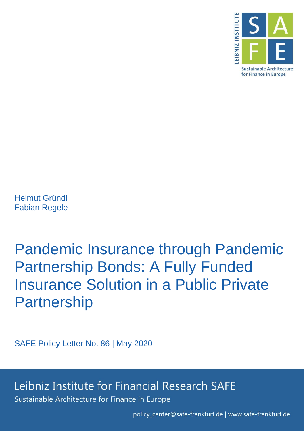

Helmut Gründl Fabian Regele

Pandemic Insurance through Pandemic Partnership Bonds: A Fully Funded Insurance Solution in a Public Private **Partnership** 

SAFE Policy Letter No. 86 | May 2020

Leibniz Institute for Financial Research SAFE

Sustainable Architecture for Finance in Europe

policy\_center@safe-frankfurt.de | www.safe-frankfurt.de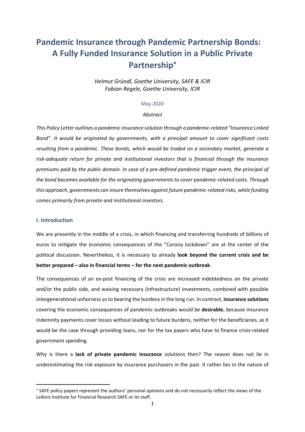# **Pandemic Insurance through Pandemic Partnership Bonds: A Fully Funded Insurance Solution in a Public Private Partnership**

*Helmut Gründl, Goethe University, SAFE & ICIR Fabian Regele, Goethe University, ICIR*

## May 2020

#### *Abstract*

*This Policy Letter outlines a pandemic insurance solution through a pandemic-related "Insurance Linked Bond". It would be originated by governments, with a principal amount to cover significant costs resulting from a pandemic. These bonds, which would be traded on a secondary market, generate a risk-adequate return for private and institutional investors that is financed through the insurance premiums paid by the public domain. In case of a pre-defined pandemic trigger event, the principal of the bond becomes available for the originating governments to cover pandemic-related costs. Through this approach, governments can insure themselves against future pandemic-related risks, while funding comes primarily from private and institutional investors.*

## **I. Introduction**

**.** 

We are presently in the middle of a crisis, in which financing and transferring hundreds of billions of euros to mitigate the economic consequences of the "Corona lockdown" are at the center of the political discussion. Nevertheless, it is necessary to already **look beyond the current crisis and be better prepared – also in financial terms – for the next pandemic outbreak**.

The consequences of an ex-post financing of the crisis are increased indebtedness on the private and/or the public side, and waiving necessary (infrastructure) investments, combined with possible intergenerational unfairness as to bearing the burdens in the long run. In contrast, **insurance solutions** covering the economic consequences of pandemic outbreaks would be **desirable**, because insurance indemnity payments cover losses without leading to future burdens, neither for the beneficiaries, as it would be the case through providing loans, nor for the tax payers who have to finance crisis-related government spending.

Why is there a **lack of private pandemic insurance** solutions then? The reason does not lie in underestimating the risk exposure by insurance purchasers in the past. It rather lies in the nature of

SAFE policy papers represent the authors' personal opinions and do not necessarily reflect the views of the Leibniz Institute for Financial Research SAFE or its staff.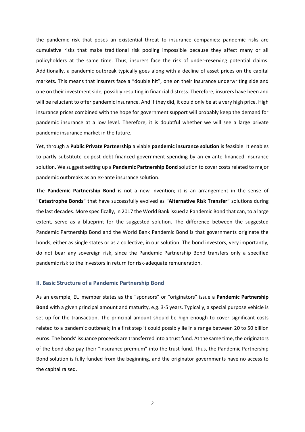the pandemic risk that poses an existential threat to insurance companies: pandemic risks are cumulative risks that make traditional risk pooling impossible because they affect many or all policyholders at the same time. Thus, insurers face the risk of under-reserving potential claims. Additionally, a pandemic outbreak typically goes along with a decline of asset prices on the capital markets. This means that insurers face a "double hit", one on their insurance underwriting side and one on their investment side, possibly resulting in financial distress. Therefore, insurers have been and will be reluctant to offer pandemic insurance. And if they did, it could only be at a very high price. High insurance prices combined with the hope for government support will probably keep the demand for pandemic insurance at a low level. Therefore, it is doubtful whether we will see a large private pandemic insurance market in the future.

Yet, through a **Public Private Partnership** a viable **pandemic insurance solution** is feasible. It enables to partly substitute ex-post debt-financed government spending by an ex-ante financed insurance solution. We suggest setting up a **Pandemic Partnership Bond** solution to cover costs related to major pandemic outbreaks as an ex-ante insurance solution.

The **Pandemic Partnership Bond** is not a new invention; it is an arrangement in the sense of "**Catastrophe Bonds**" that have successfully evolved as "**Alternative Risk Transfer**" solutions during the last decades. More specifically, in 2017 the World Bank issued a Pandemic Bond that can, to a large extent, serve as a blueprint for the suggested solution. The difference between the suggested Pandemic Partnership Bond and the World Bank Pandemic Bond is that governments originate the bonds, either as single states or as a collective, in our solution. The bond investors, very importantly, do not bear any sovereign risk, since the Pandemic Partnership Bond transfers only a specified pandemic risk to the investors in return for risk-adequate remuneration.

## **II. Basic Structure of a Pandemic Partnership Bond**

As an example, EU member states as the "sponsors" or "originators" issue a **Pandemic Partnership Bond** with a given principal amount and maturity, e.g. 3-5 years. Typically, a special purpose vehicle is set up for the transaction. The principal amount should be high enough to cover significant costs related to a pandemic outbreak; in a first step it could possibly lie in a range between 20 to 50 billion euros. The bonds' issuance proceeds are transferred into a trust fund. At the same time, the originators of the bond also pay their "insurance premium" into the trust fund. Thus, the Pandemic Partnership Bond solution is fully funded from the beginning, and the originator governments have no access to the capital raised.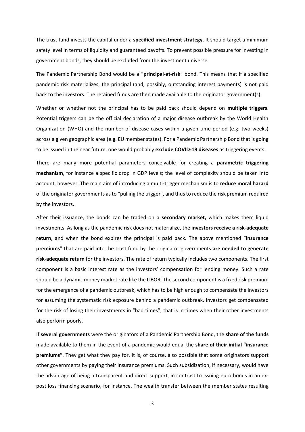The trust fund invests the capital under a **specified investment strategy**. It should target a minimum safety level in terms of liquidity and guaranteed payoffs. To prevent possible pressure for investing in government bonds, they should be excluded from the investment universe.

The Pandemic Partnership Bond would be a "**principal-at-risk**" bond. This means that if a specified pandemic risk materializes, the principal (and, possibly, outstanding interest payments) is not paid back to the investors. The retained funds are then made available to the originator government(s).

Whether or whether not the principal has to be paid back should depend on **multiple triggers**. Potential triggers can be the official declaration of a major disease outbreak by the World Health Organization (WHO) and the number of disease cases within a given time period (e.g. two weeks) across a given geographic area (e.g. EU member states). For a Pandemic Partnership Bond that is going to be issued in the near future, one would probably **exclude COVID-19 diseases** as triggering events.

There are many more potential parameters conceivable for creating a **parametric triggering mechanism**, for instance a specific drop in GDP levels; the level of complexity should be taken into account, however. The main aim of introducing a multi-trigger mechanism is to **reduce moral hazard** of the originator governments as to "pulling the trigger", and thus to reduce the risk premium required by the investors.

After their issuance, the bonds can be traded on a **secondary market,** which makes them liquid investments. As long as the pandemic risk does not materialize, the **investors receive a risk-adequate return**, and when the bond expires the principal is paid back. The above mentioned "**insurance premiums**" that are paid into the trust fund by the originator governments **are needed to generate risk-adequate return** for the investors. The rate of return typically includes two components. The first component is a basic interest rate as the investors' compensation for lending money. Such a rate should be a dynamic money market rate like the LIBOR. The second component is a fixed risk premium for the emergence of a pandemic outbreak, which has to be high enough to compensate the investors for assuming the systematic risk exposure behind a pandemic outbreak. Investors get compensated for the risk of losing their investments in "bad times", that is in times when their other investments also perform poorly.

If **several governments** were the originators of a Pandemic Partnership Bond, the **share of the funds** made available to them in the event of a pandemic would equal the **share of their initial "insurance premiums"**. They get what they pay for. It is, of course, also possible that some originators support other governments by paying their insurance premiums. Such subsidization, if necessary, would have the advantage of being a transparent and direct support, in contrast to issuing euro bonds in an expost loss financing scenario, for instance. The wealth transfer between the member states resulting

3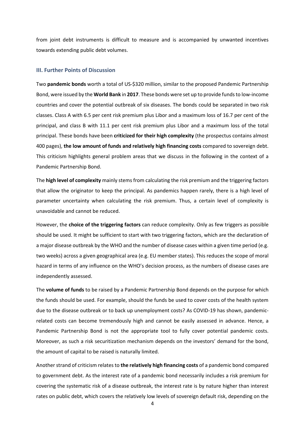from joint debt instruments is difficult to measure and is accompanied by unwanted incentives towards extending public debt volumes.

## **III. Further Points of Discussion**

Two **pandemic bonds** worth a total of US-\$320 million, similar to the proposed Pandemic Partnership Bond, were issued by the **World Bank** in **2017**. These bonds were set up to provide funds to low-income countries and cover the potential outbreak of six diseases. The bonds could be separated in two risk classes. Class A with 6.5 per cent risk premium plus Libor and a maximum loss of 16.7 per cent of the principal, and class B with 11.1 per cent risk premium plus Libor and a maximum loss of the total principal. These bonds have been **criticized for their high complexity** (the prospectus contains almost 400 pages), **the low amount of funds and relatively high financing costs** compared to sovereign debt. This criticism highlights general problem areas that we discuss in the following in the context of a Pandemic Partnership Bond.

The **high level of complexity** mainly stems from calculating the risk premium and the triggering factors that allow the originator to keep the principal. As pandemics happen rarely, there is a high level of parameter uncertainty when calculating the risk premium. Thus, a certain level of complexity is unavoidable and cannot be reduced.

However, the **choice of the triggering factors** can reduce complexity. Only as few triggers as possible should be used. It might be sufficient to start with two triggering factors, which are the declaration of a major disease outbreak by the WHO and the number of disease cases within a given time period (e.g. two weeks) across a given geographical area (e.g. EU member states). This reduces the scope of moral hazard in terms of any influence on the WHO's decision process, as the numbers of disease cases are independently assessed.

The **volume of funds** to be raised by a Pandemic Partnership Bond depends on the purpose for which the funds should be used. For example, should the funds be used to cover costs of the health system due to the disease outbreak or to back up unemployment costs? As COVID-19 has shown, pandemicrelated costs can become tremendously high and cannot be easily assessed in advance. Hence, a Pandemic Partnership Bond is not the appropriate tool to fully cover potential pandemic costs. Moreover, as such a risk securitization mechanism depends on the investors' demand for the bond, the amount of capital to be raised is naturally limited.

Another strand of criticism relates to the relatively high financing costs of a pandemic bond compared to government debt. As the interest rate of a pandemic bond necessarily includes a risk premium for covering the systematic risk of a disease outbreak, the interest rate is by nature higher than interest rates on public debt, which covers the relatively low levels of sovereign default risk, depending on the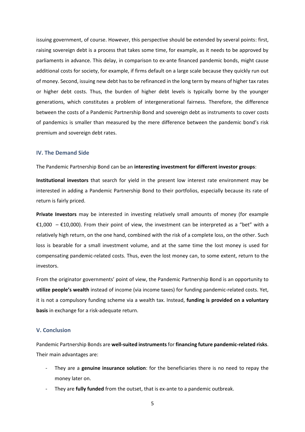issuing government, of course. However, this perspective should be extended by several points: first, raising sovereign debt is a process that takes some time, for example, as it needs to be approved by parliaments in advance. This delay, in comparison to ex-ante financed pandemic bonds, might cause additional costs for society, for example, if firms default on a large scale because they quickly run out of money. Second, issuing new debt has to be refinanced in the long term by means of higher tax rates or higher debt costs. Thus, the burden of higher debt levels is typically borne by the younger generations, which constitutes a problem of intergenerational fairness. Therefore, the difference between the costs of a Pandemic Partnership Bond and sovereign debt as instruments to cover costs of pandemics is smaller than measured by the mere difference between the pandemic bond's risk premium and sovereign debt rates.

## **IV. The Demand Side**

The Pandemic Partnership Bond can be an **interesting investment for different investor groups**:

**Institutional investors** that search for yield in the present low interest rate environment may be interested in adding a Pandemic Partnership Bond to their portfolios, especially because its rate of return is fairly priced.

**Private Investors** may be interested in investing relatively small amounts of money (for example €1,000 – €10,000). From their point of view, the investment can be interpreted as a "bet" with a relatively high return, on the one hand, combined with the risk of a complete loss, on the other. Such loss is bearable for a small investment volume, and at the same time the lost money is used for compensating pandemic-related costs. Thus, even the lost money can, to some extent, return to the investors.

From the originator governments' point of view, the Pandemic Partnership Bond is an opportunity to **utilize people's wealth** instead of income (via income taxes) for funding pandemic-related costs. Yet, it is not a compulsory funding scheme via a wealth tax. Instead, **funding is provided on a voluntary basis** in exchange for a risk-adequate return.

## **V. Conclusion**

Pandemic Partnership Bonds are **well-suited instruments** for **financing future pandemic-related risks**. Their main advantages are:

- They are a **genuine insurance solution**: for the beneficiaries there is no need to repay the money later on.
- They are **fully funded** from the outset, that is ex-ante to a pandemic outbreak.